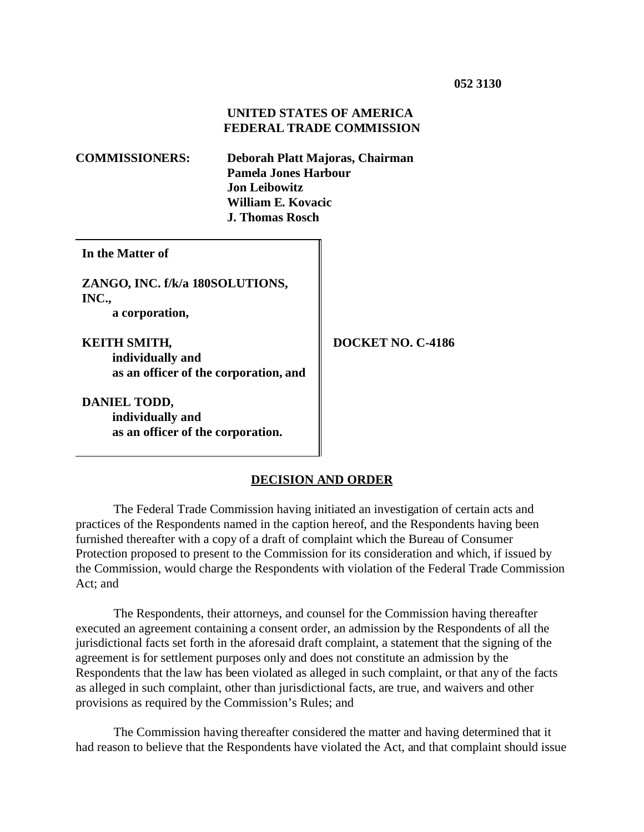### **UNITED STATES OF AMERICA FEDERAL TRADE COMMISSION**

| <b>COMMISSIONERS:</b>                                                            | Deborah Platt Majoras, Chairman<br><b>Pamela Jones Harbour</b><br><b>Jon Leibowitz</b><br>William E. Kovacic<br><b>J. Thomas Rosch</b> |                   |
|----------------------------------------------------------------------------------|----------------------------------------------------------------------------------------------------------------------------------------|-------------------|
| In the Matter of                                                                 |                                                                                                                                        |                   |
| ZANGO, INC. f/k/a 180SOLUTIONS,<br>INC.,<br>a corporation,                       |                                                                                                                                        |                   |
| <b>KEITH SMITH,</b><br>individually and<br>as an officer of the corporation, and |                                                                                                                                        | DOCKET NO. C-4186 |
| DANIEL TODD,<br>individually and<br>as an officer of the corporation.            |                                                                                                                                        |                   |

### **DECISION AND ORDER**

The Federal Trade Commission having initiated an investigation of certain acts and practices of the Respondents named in the caption hereof, and the Respondents having been furnished thereafter with a copy of a draft of complaint which the Bureau of Consumer Protection proposed to present to the Commission for its consideration and which, if issued by the Commission, would charge the Respondents with violation of the Federal Trade Commission Act; and

The Respondents, their attorneys, and counsel for the Commission having thereafter executed an agreement containing a consent order, an admission by the Respondents of all the jurisdictional facts set forth in the aforesaid draft complaint, a statement that the signing of the agreement is for settlement purposes only and does not constitute an admission by the Respondents that the law has been violated as alleged in such complaint, or that any of the facts as alleged in such complaint, other than jurisdictional facts, are true, and waivers and other provisions as required by the Commission's Rules; and

The Commission having thereafter considered the matter and having determined that it had reason to believe that the Respondents have violated the Act, and that complaint should issue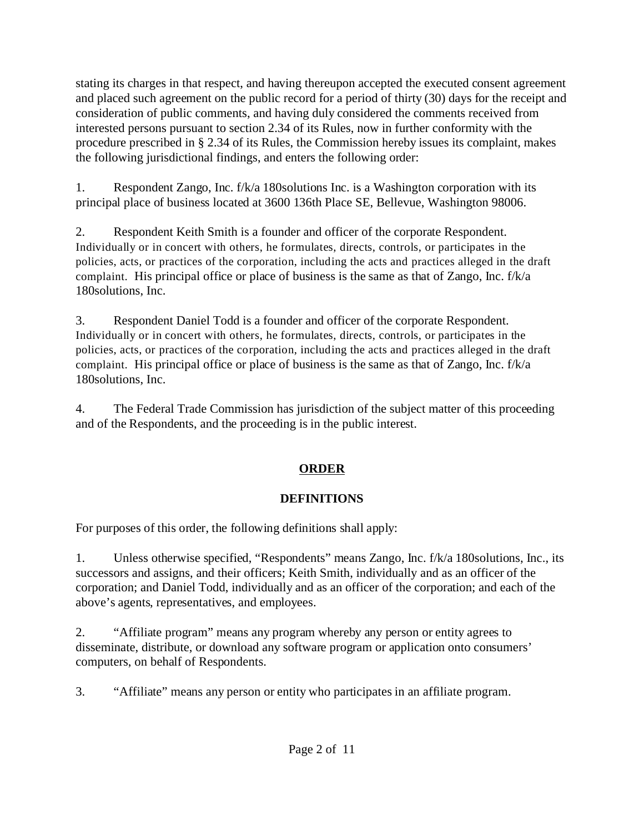stating its charges in that respect, and having thereupon accepted the executed consent agreement and placed such agreement on the public record for a period of thirty (30) days for the receipt and consideration of public comments, and having duly considered the comments received from interested persons pursuant to section 2.34 of its Rules, now in further conformity with the procedure prescribed in § 2.34 of its Rules, the Commission hereby issues its complaint, makes the following jurisdictional findings, and enters the following order:

1. Respondent Zango, Inc. f/k/a 180solutions Inc. is a Washington corporation with its principal place of business located at 3600 136th Place SE, Bellevue, Washington 98006.

2. Respondent Keith Smith is a founder and officer of the corporate Respondent. Individually or in concert with others, he formulates, directs, controls, or participates in the policies, acts, or practices of the corporation, including the acts and practices alleged in the draft complaint. His principal office or place of business is the same as that of Zango, Inc. f/k/a 180solutions, Inc.

3. Respondent Daniel Todd is a founder and officer of the corporate Respondent. Individually or in concert with others, he formulates, directs, controls, or participates in the policies, acts, or practices of the corporation, including the acts and practices alleged in the draft complaint. His principal office or place of business is the same as that of Zango, Inc. f/k/a 180solutions, Inc.

4. The Federal Trade Commission has jurisdiction of the subject matter of this proceeding and of the Respondents, and the proceeding is in the public interest.

# **ORDER**

# **DEFINITIONS**

For purposes of this order, the following definitions shall apply:

1. Unless otherwise specified, "Respondents" means Zango, Inc. f/k/a 180solutions, Inc., its successors and assigns, and their officers; Keith Smith, individually and as an officer of the corporation; and Daniel Todd, individually and as an officer of the corporation; and each of the above's agents, representatives, and employees.

2. "Affiliate program" means any program whereby any person or entity agrees to disseminate, distribute, or download any software program or application onto consumers' computers, on behalf of Respondents.

3. "Affiliate" means any person or entity who participates in an affiliate program.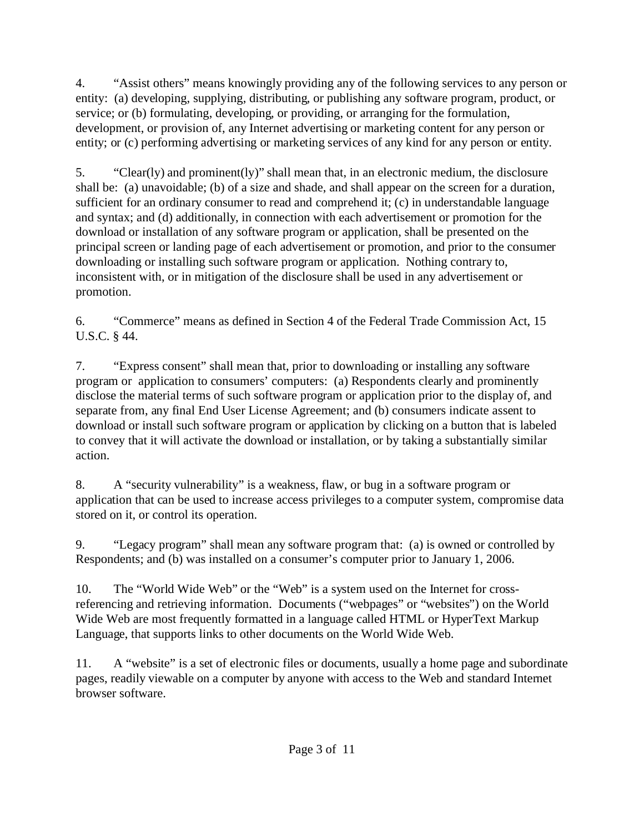4. "Assist others" means knowingly providing any of the following services to any person or entity: (a) developing, supplying, distributing, or publishing any software program, product, or service; or (b) formulating, developing, or providing, or arranging for the formulation, development, or provision of, any Internet advertising or marketing content for any person or entity; or (c) performing advertising or marketing services of any kind for any person or entity.

5. "Clear(ly) and prominent(ly)" shall mean that, in an electronic medium, the disclosure shall be: (a) unavoidable; (b) of a size and shade, and shall appear on the screen for a duration, sufficient for an ordinary consumer to read and comprehend it; (c) in understandable language and syntax; and (d) additionally, in connection with each advertisement or promotion for the download or installation of any software program or application, shall be presented on the principal screen or landing page of each advertisement or promotion, and prior to the consumer downloading or installing such software program or application. Nothing contrary to, inconsistent with, or in mitigation of the disclosure shall be used in any advertisement or promotion.

6. "Commerce" means as defined in Section 4 of the Federal Trade Commission Act, 15 U.S.C. § 44.

7. "Express consent" shall mean that, prior to downloading or installing any software program or application to consumers' computers: (a) Respondents clearly and prominently disclose the material terms of such software program or application prior to the display of, and separate from, any final End User License Agreement; and (b) consumers indicate assent to download or install such software program or application by clicking on a button that is labeled to convey that it will activate the download or installation, or by taking a substantially similar action.

8. A "security vulnerability" is a weakness, flaw, or bug in a software program or application that can be used to increase access privileges to a computer system, compromise data stored on it, or control its operation.

9. "Legacy program" shall mean any software program that: (a) is owned or controlled by Respondents; and (b) was installed on a consumer's computer prior to January 1, 2006.

10. The "World Wide Web" or the "Web" is a system used on the Internet for crossreferencing and retrieving information. Documents ("webpages" or "websites") on the World Wide Web are most frequently formatted in a language called HTML or HyperText Markup Language, that supports links to other documents on the World Wide Web.

11. A "website" is a set of electronic files or documents, usually a home page and subordinate pages, readily viewable on a computer by anyone with access to the Web and standard Internet browser software.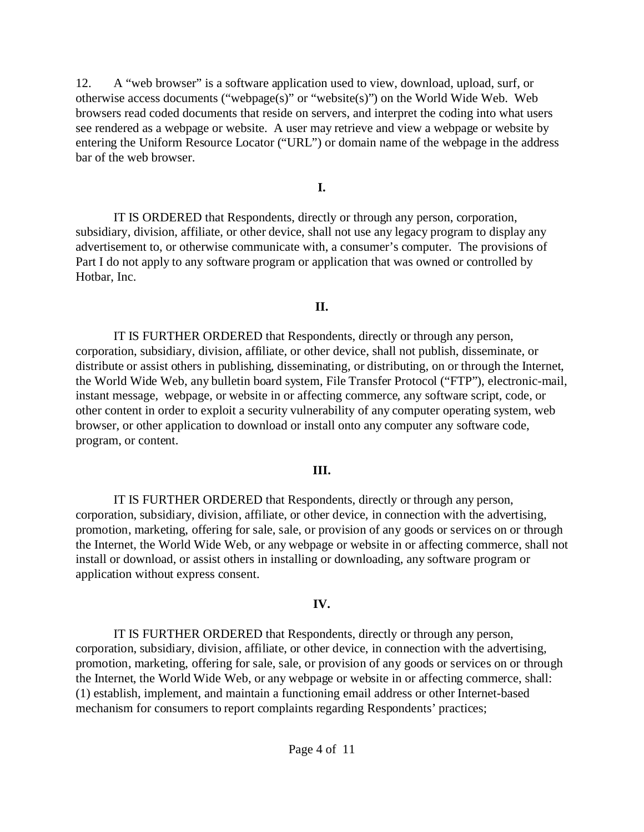12. A "web browser" is a software application used to view, download, upload, surf, or otherwise access documents ("webpage(s)" or "website(s)") on the World Wide Web. Web browsers read coded documents that reside on servers, and interpret the coding into what users see rendered as a webpage or website. A user may retrieve and view a webpage or website by entering the Uniform Resource Locator ("URL") or domain name of the webpage in the address bar of the web browser.

### **I.**

IT IS ORDERED that Respondents, directly or through any person, corporation, subsidiary, division, affiliate, or other device, shall not use any legacy program to display any advertisement to, or otherwise communicate with, a consumer's computer. The provisions of Part I do not apply to any software program or application that was owned or controlled by Hotbar, Inc.

# **II.**

IT IS FURTHER ORDERED that Respondents, directly or through any person, corporation, subsidiary, division, affiliate, or other device, shall not publish, disseminate, or distribute or assist others in publishing, disseminating, or distributing, on or through the Internet, the World Wide Web, any bulletin board system, File Transfer Protocol ("FTP"), electronic-mail, instant message, webpage, or website in or affecting commerce, any software script, code, or other content in order to exploit a security vulnerability of any computer operating system, web browser, or other application to download or install onto any computer any software code, program, or content.

# **III.**

IT IS FURTHER ORDERED that Respondents, directly or through any person, corporation, subsidiary, division, affiliate, or other device, in connection with the advertising, promotion, marketing, offering for sale, sale, or provision of any goods or services on or through the Internet, the World Wide Web, or any webpage or website in or affecting commerce, shall not install or download, or assist others in installing or downloading, any software program or application without express consent.

# **IV.**

IT IS FURTHER ORDERED that Respondents, directly or through any person, corporation, subsidiary, division, affiliate, or other device, in connection with the advertising, promotion, marketing, offering for sale, sale, or provision of any goods or services on or through the Internet, the World Wide Web, or any webpage or website in or affecting commerce, shall: (1) establish, implement, and maintain a functioning email address or other Internet-based mechanism for consumers to report complaints regarding Respondents' practices;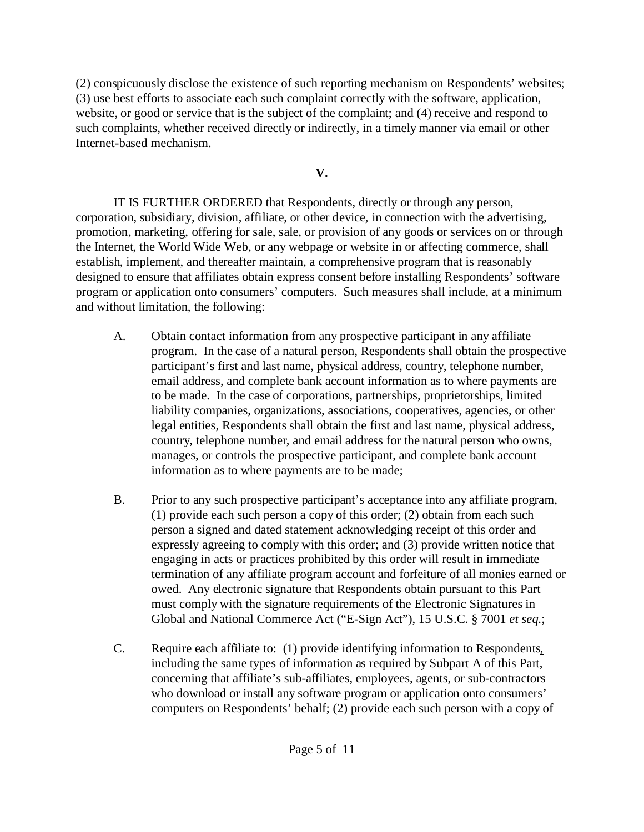(2) conspicuously disclose the existence of such reporting mechanism on Respondents' websites; (3) use best efforts to associate each such complaint correctly with the software, application, website, or good or service that is the subject of the complaint; and (4) receive and respond to such complaints, whether received directly or indirectly, in a timely manner via email or other Internet-based mechanism.

# **V.**

IT IS FURTHER ORDERED that Respondents, directly or through any person, corporation, subsidiary, division, affiliate, or other device, in connection with the advertising, promotion, marketing, offering for sale, sale, or provision of any goods or services on or through the Internet, the World Wide Web, or any webpage or website in or affecting commerce, shall establish, implement, and thereafter maintain, a comprehensive program that is reasonably designed to ensure that affiliates obtain express consent before installing Respondents' software program or application onto consumers' computers. Such measures shall include, at a minimum and without limitation, the following:

- A. Obtain contact information from any prospective participant in any affiliate program. In the case of a natural person, Respondents shall obtain the prospective participant's first and last name, physical address, country, telephone number, email address, and complete bank account information as to where payments are to be made. In the case of corporations, partnerships, proprietorships, limited liability companies, organizations, associations, cooperatives, agencies, or other legal entities, Respondents shall obtain the first and last name, physical address, country, telephone number, and email address for the natural person who owns, manages, or controls the prospective participant, and complete bank account information as to where payments are to be made;
- B. Prior to any such prospective participant's acceptance into any affiliate program, (1) provide each such person a copy of this order; (2) obtain from each such person a signed and dated statement acknowledging receipt of this order and expressly agreeing to comply with this order; and (3) provide written notice that engaging in acts or practices prohibited by this order will result in immediate termination of any affiliate program account and forfeiture of all monies earned or owed. Any electronic signature that Respondents obtain pursuant to this Part must comply with the signature requirements of the Electronic Signatures in Global and National Commerce Act ("E-Sign Act"), 15 U.S.C. § 7001 *et seq.*;
- C. Require each affiliate to: (1) provide identifying information to Respondents, including the same types of information as required by Subpart A of this Part, concerning that affiliate's sub-affiliates, employees, agents, or sub-contractors who download or install any software program or application onto consumers' computers on Respondents' behalf; (2) provide each such person with a copy of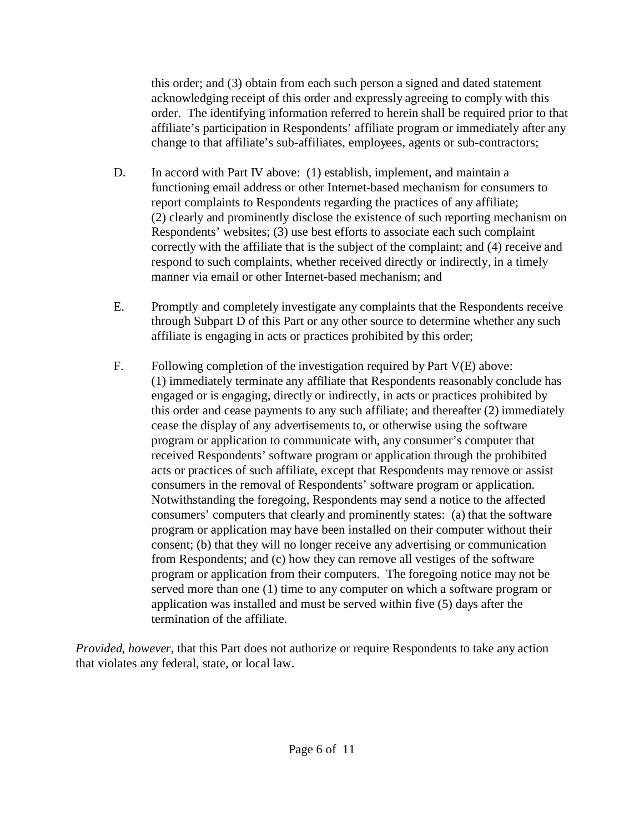this order; and (3) obtain from each such person a signed and dated statement acknowledging receipt of this order and expressly agreeing to comply with this order. The identifying information referred to herein shall be required prior to that affiliate's participation in Respondents' affiliate program or immediately after any change to that affiliate's sub-affiliates, employees, agents or sub-contractors;

- D. In accord with Part IV above: (1) establish, implement, and maintain a functioning email address or other Internet-based mechanism for consumers to report complaints to Respondents regarding the practices of any affiliate; (2) clearly and prominently disclose the existence of such reporting mechanism on Respondents' websites; (3) use best efforts to associate each such complaint correctly with the affiliate that is the subject of the complaint; and (4) receive and respond to such complaints, whether received directly or indirectly, in a timely manner via email or other Internet-based mechanism; and
- E. Promptly and completely investigate any complaints that the Respondents receive through Subpart D of this Part or any other source to determine whether any such affiliate is engaging in acts or practices prohibited by this order;
- F. Following completion of the investigation required by Part  $V(E)$  above: (1) immediately terminate any affiliate that Respondents reasonably conclude has engaged or is engaging, directly or indirectly, in acts or practices prohibited by this order and cease payments to any such affiliate; and thereafter (2) immediately cease the display of any advertisements to, or otherwise using the software program or application to communicate with, any consumer's computer that received Respondents' software program or application through the prohibited acts or practices of such affiliate, except that Respondents may remove or assist consumers in the removal of Respondents' software program or application. Notwithstanding the foregoing, Respondents may send a notice to the affected consumers' computers that clearly and prominently states: (a) that the software program or application may have been installed on their computer without their consent; (b) that they will no longer receive any advertising or communication from Respondents; and (c) how they can remove all vestiges of the software program or application from their computers. The foregoing notice may not be served more than one (1) time to any computer on which a software program or application was installed and must be served within five (5) days after the termination of the affiliate.

*Provided, however,* that this Part does not authorize or require Respondents to take any action that violates any federal, state, or local law.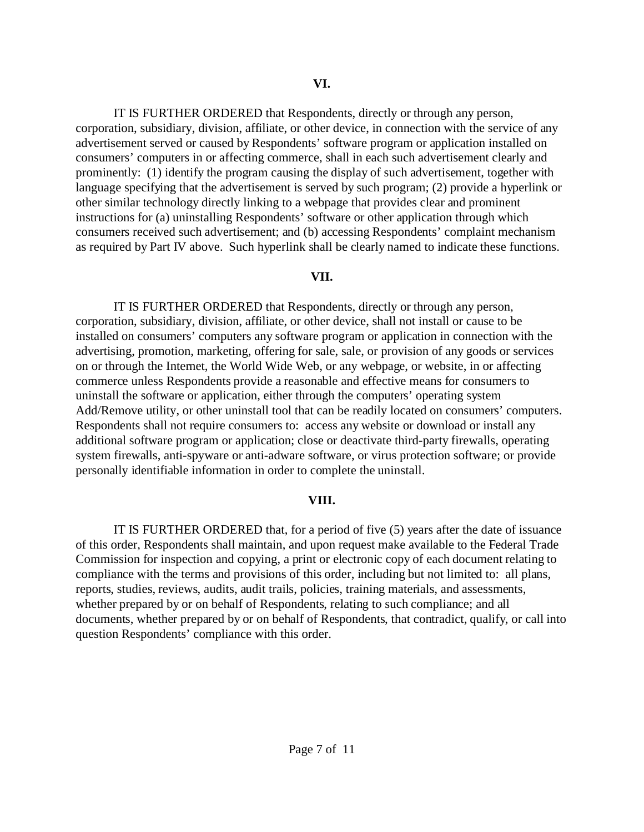IT IS FURTHER ORDERED that Respondents, directly or through any person, corporation, subsidiary, division, affiliate, or other device, in connection with the service of any advertisement served or caused by Respondents' software program or application installed on consumers' computers in or affecting commerce, shall in each such advertisement clearly and prominently: (1) identify the program causing the display of such advertisement, together with language specifying that the advertisement is served by such program; (2) provide a hyperlink or other similar technology directly linking to a webpage that provides clear and prominent instructions for (a) uninstalling Respondents' software or other application through which consumers received such advertisement; and (b) accessing Respondents' complaint mechanism as required by Part IV above. Such hyperlink shall be clearly named to indicate these functions.

#### **VII.**

IT IS FURTHER ORDERED that Respondents, directly or through any person, corporation, subsidiary, division, affiliate, or other device, shall not install or cause to be installed on consumers' computers any software program or application in connection with the advertising, promotion, marketing, offering for sale, sale, or provision of any goods or services on or through the Internet, the World Wide Web, or any webpage, or website, in or affecting commerce unless Respondents provide a reasonable and effective means for consumers to uninstall the software or application, either through the computers' operating system Add/Remove utility, or other uninstall tool that can be readily located on consumers' computers. Respondents shall not require consumers to: access any website or download or install any additional software program or application; close or deactivate third-party firewalls, operating system firewalls, anti-spyware or anti-adware software, or virus protection software; or provide personally identifiable information in order to complete the uninstall.

### **VIII.**

IT IS FURTHER ORDERED that, for a period of five (5) years after the date of issuance of this order, Respondents shall maintain, and upon request make available to the Federal Trade Commission for inspection and copying, a print or electronic copy of each document relating to compliance with the terms and provisions of this order, including but not limited to: all plans, reports, studies, reviews, audits, audit trails, policies, training materials, and assessments, whether prepared by or on behalf of Respondents, relating to such compliance; and all documents, whether prepared by or on behalf of Respondents, that contradict, qualify, or call into question Respondents' compliance with this order.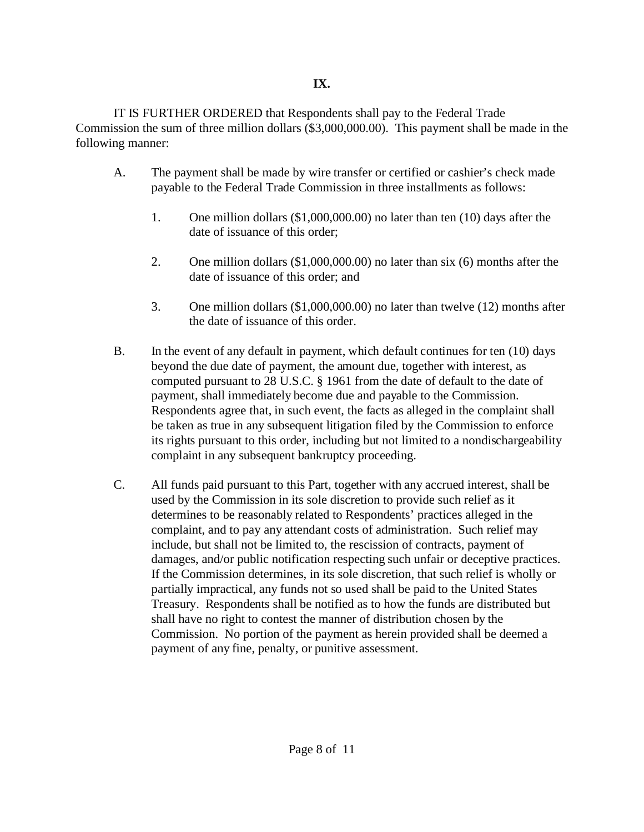IT IS FURTHER ORDERED that Respondents shall pay to the Federal Trade Commission the sum of three million dollars (\$3,000,000.00). This payment shall be made in the following manner:

- A. The payment shall be made by wire transfer or certified or cashier's check made payable to the Federal Trade Commission in three installments as follows:
	- 1. One million dollars (\$1,000,000.00) no later than ten (10) days after the date of issuance of this order;
	- 2. One million dollars (\$1,000,000.00) no later than six (6) months after the date of issuance of this order; and
	- 3. One million dollars (\$1,000,000.00) no later than twelve (12) months after the date of issuance of this order.
- B. In the event of any default in payment, which default continues for ten (10) days beyond the due date of payment, the amount due, together with interest, as computed pursuant to 28 U.S.C. § 1961 from the date of default to the date of payment, shall immediately become due and payable to the Commission. Respondents agree that, in such event, the facts as alleged in the complaint shall be taken as true in any subsequent litigation filed by the Commission to enforce its rights pursuant to this order, including but not limited to a nondischargeability complaint in any subsequent bankruptcy proceeding.
- C. All funds paid pursuant to this Part, together with any accrued interest, shall be used by the Commission in its sole discretion to provide such relief as it determines to be reasonably related to Respondents' practices alleged in the complaint, and to pay any attendant costs of administration. Such relief may include, but shall not be limited to, the rescission of contracts, payment of damages, and/or public notification respecting such unfair or deceptive practices. If the Commission determines, in its sole discretion, that such relief is wholly or partially impractical, any funds not so used shall be paid to the United States Treasury. Respondents shall be notified as to how the funds are distributed but shall have no right to contest the manner of distribution chosen by the Commission. No portion of the payment as herein provided shall be deemed a payment of any fine, penalty, or punitive assessment.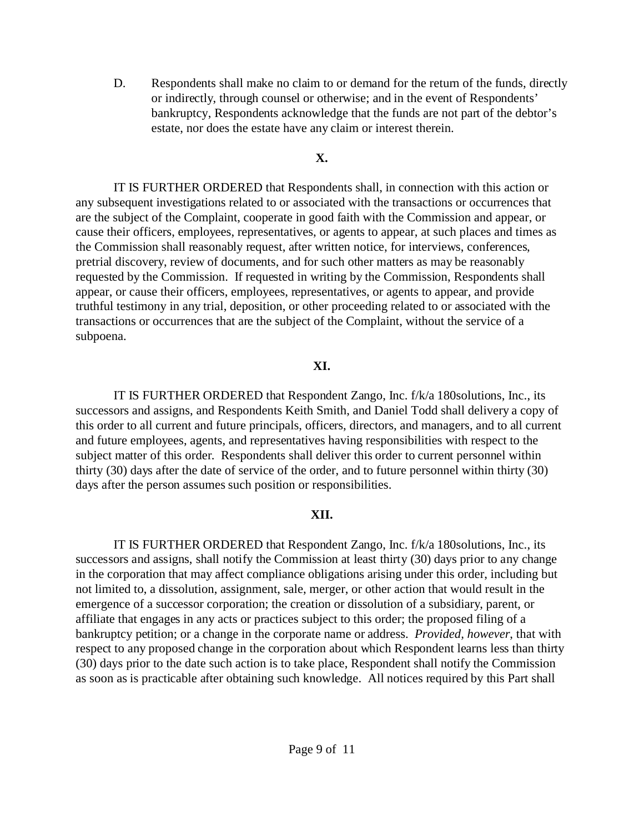D. Respondents shall make no claim to or demand for the return of the funds, directly or indirectly, through counsel or otherwise; and in the event of Respondents' bankruptcy, Respondents acknowledge that the funds are not part of the debtor's estate, nor does the estate have any claim or interest therein.

# **X.**

IT IS FURTHER ORDERED that Respondents shall, in connection with this action or any subsequent investigations related to or associated with the transactions or occurrences that are the subject of the Complaint, cooperate in good faith with the Commission and appear, or cause their officers, employees, representatives, or agents to appear, at such places and times as the Commission shall reasonably request, after written notice, for interviews, conferences, pretrial discovery, review of documents, and for such other matters as may be reasonably requested by the Commission. If requested in writing by the Commission, Respondents shall appear, or cause their officers, employees, representatives, or agents to appear, and provide truthful testimony in any trial, deposition, or other proceeding related to or associated with the transactions or occurrences that are the subject of the Complaint, without the service of a subpoena.

# **XI.**

IT IS FURTHER ORDERED that Respondent Zango, Inc. f/k/a 180solutions, Inc., its successors and assigns, and Respondents Keith Smith, and Daniel Todd shall delivery a copy of this order to all current and future principals, officers, directors, and managers, and to all current and future employees, agents, and representatives having responsibilities with respect to the subject matter of this order. Respondents shall deliver this order to current personnel within thirty (30) days after the date of service of the order, and to future personnel within thirty (30) days after the person assumes such position or responsibilities.

# **XII.**

IT IS FURTHER ORDERED that Respondent Zango, Inc. f/k/a 180solutions, Inc., its successors and assigns, shall notify the Commission at least thirty (30) days prior to any change in the corporation that may affect compliance obligations arising under this order, including but not limited to, a dissolution, assignment, sale, merger, or other action that would result in the emergence of a successor corporation; the creation or dissolution of a subsidiary, parent, or affiliate that engages in any acts or practices subject to this order; the proposed filing of a bankruptcy petition; or a change in the corporate name or address. *Provided, however*, that with respect to any proposed change in the corporation about which Respondent learns less than thirty (30) days prior to the date such action is to take place, Respondent shall notify the Commission as soon as is practicable after obtaining such knowledge. All notices required by this Part shall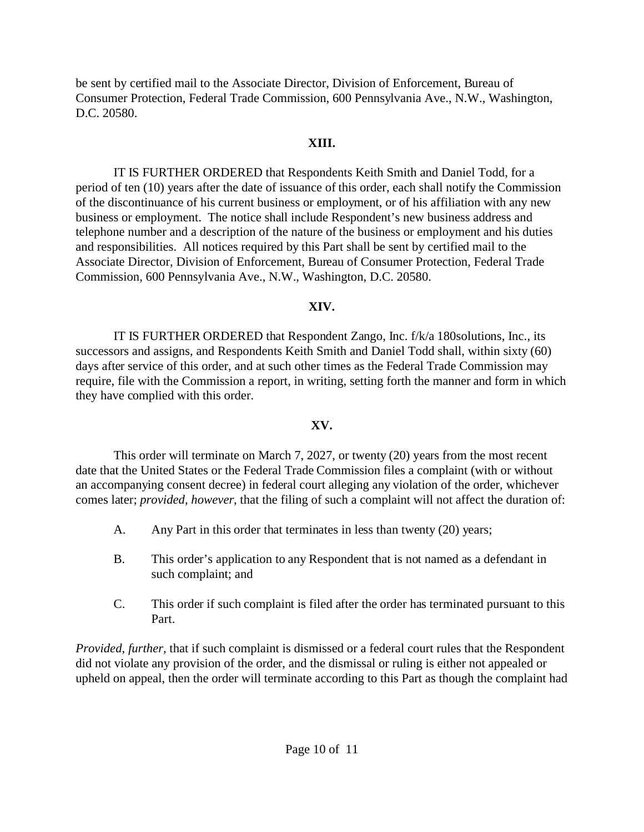be sent by certified mail to the Associate Director, Division of Enforcement, Bureau of Consumer Protection, Federal Trade Commission, 600 Pennsylvania Ave., N.W., Washington, D.C. 20580.

# **XIII.**

IT IS FURTHER ORDERED that Respondents Keith Smith and Daniel Todd, for a period of ten (10) years after the date of issuance of this order, each shall notify the Commission of the discontinuance of his current business or employment, or of his affiliation with any new business or employment. The notice shall include Respondent's new business address and telephone number and a description of the nature of the business or employment and his duties and responsibilities. All notices required by this Part shall be sent by certified mail to the Associate Director, Division of Enforcement, Bureau of Consumer Protection, Federal Trade Commission, 600 Pennsylvania Ave., N.W., Washington, D.C. 20580.

# **XIV.**

IT IS FURTHER ORDERED that Respondent Zango, Inc. f/k/a 180solutions, Inc., its successors and assigns, and Respondents Keith Smith and Daniel Todd shall, within sixty (60) days after service of this order, and at such other times as the Federal Trade Commission may require, file with the Commission a report, in writing, setting forth the manner and form in which they have complied with this order.

# **XV.**

This order will terminate on March 7, 2027, or twenty (20) years from the most recent date that the United States or the Federal Trade Commission files a complaint (with or without an accompanying consent decree) in federal court alleging any violation of the order, whichever comes later; *provided, however*, that the filing of such a complaint will not affect the duration of:

- A. Any Part in this order that terminates in less than twenty (20) years;
- B. This order's application to any Respondent that is not named as a defendant in such complaint; and
- C. This order if such complaint is filed after the order has terminated pursuant to this Part.

*Provided, further,* that if such complaint is dismissed or a federal court rules that the Respondent did not violate any provision of the order, and the dismissal or ruling is either not appealed or upheld on appeal, then the order will terminate according to this Part as though the complaint had